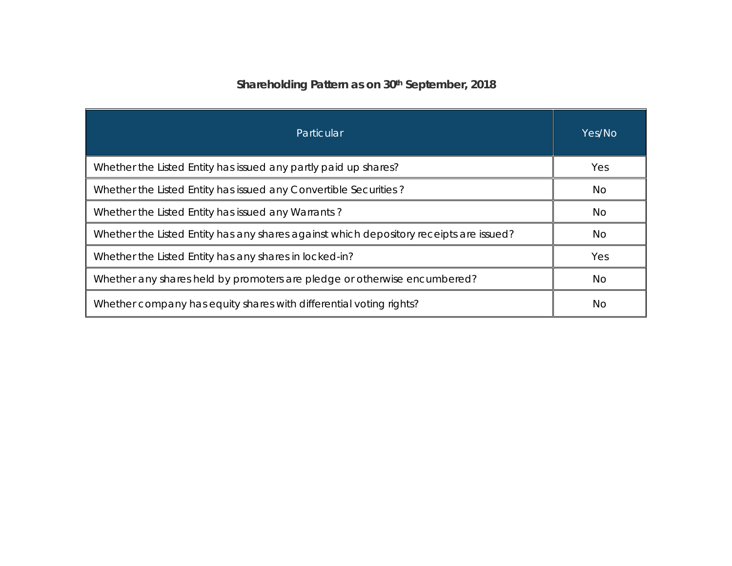# **Shareholding Pattern as on 30th September, 2018**

| Particular                                                                             | Yes/No |
|----------------------------------------------------------------------------------------|--------|
| Whether the Listed Entity has issued any partly paid up shares?                        | Yes    |
| Whether the Listed Entity has issued any Convertible Securities?                       | No.    |
| Whether the Listed Entity has issued any Warrants?                                     | No     |
| Whether the Listed Entity has any shares against which depository receipts are issued? | No.    |
| Whether the Listed Entity has any shares in locked-in?                                 | Yes    |
| Whether any shares held by promoters are pledge or otherwise encumbered?               | No     |
| Whether company has equity shares with differential voting rights?                     | No.    |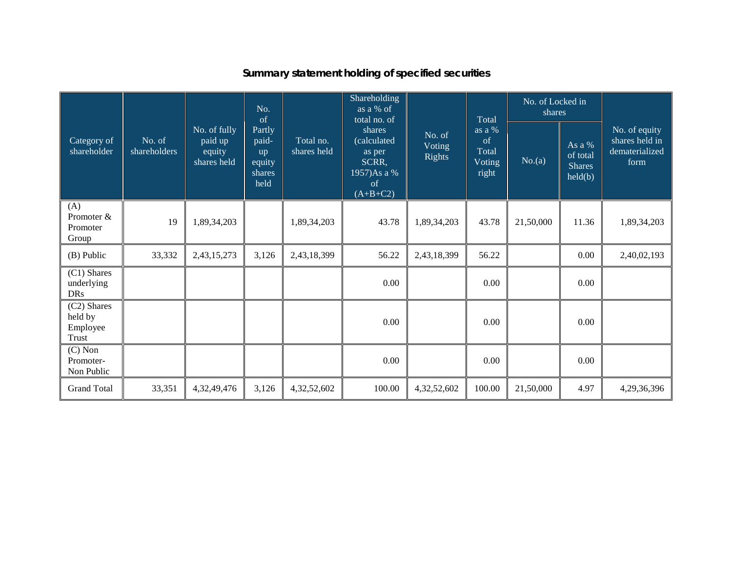| Category of<br>shareholder                         | No. of<br>shareholders | No. of fully<br>paid up<br>equity<br>shares held | No.<br>of                                         | Total no.<br>shares held | Shareholding<br>as a % of<br>total no. of<br>shares<br>(calculated<br>as per<br>SCRR,<br>1957)Asa %<br>of<br>$(A+B+C2)$ |                            | Total                                    | No. of Locked in<br>shares |                                                         | No. of equity<br>shares held in<br>dematerialized<br>form |
|----------------------------------------------------|------------------------|--------------------------------------------------|---------------------------------------------------|--------------------------|-------------------------------------------------------------------------------------------------------------------------|----------------------------|------------------------------------------|----------------------------|---------------------------------------------------------|-----------------------------------------------------------|
|                                                    |                        |                                                  | Partly<br>paid-<br>up<br>equity<br>shares<br>held |                          |                                                                                                                         | No. of<br>Voting<br>Rights | as a %<br>of<br>Total<br>Voting<br>right | No.(a)                     | As a %<br>of total<br><b>Shares</b><br>$\text{held}(b)$ |                                                           |
| (A)<br>Promoter &<br>Promoter<br>Group             | 19                     | 1,89,34,203                                      |                                                   | 1,89,34,203              | 43.78                                                                                                                   | 1,89,34,203                | 43.78                                    | 21,50,000                  | 11.36                                                   | 1,89,34,203                                               |
| (B) Public                                         | 33,332                 | 2,43,15,273                                      | 3,126                                             | 2,43,18,399              | 56.22                                                                                                                   | 2,43,18,399                | 56.22                                    |                            | $0.00\,$                                                | 2,40,02,193                                               |
| (C1) Shares<br>underlying<br><b>DRs</b>            |                        |                                                  |                                                   |                          | 0.00                                                                                                                    |                            | 0.00                                     |                            | 0.00                                                    |                                                           |
| (C2) Shares<br>held by<br>Employee<br><b>Trust</b> |                        |                                                  |                                                   |                          | 0.00                                                                                                                    |                            | 0.00                                     |                            | 0.00                                                    |                                                           |
| $(C)$ Non<br>Promoter-<br>Non Public               |                        |                                                  |                                                   |                          | 0.00                                                                                                                    |                            | 0.00                                     |                            | 0.00                                                    |                                                           |
| <b>Grand Total</b>                                 | 33,351                 | 4,32,49,476                                      | 3,126                                             | 4,32,52,602              | 100.00                                                                                                                  | 4,32,52,602                | 100.00                                   | 21,50,000                  | 4.97                                                    | 4,29,36,396                                               |

### **Summary statement holding of specified securities**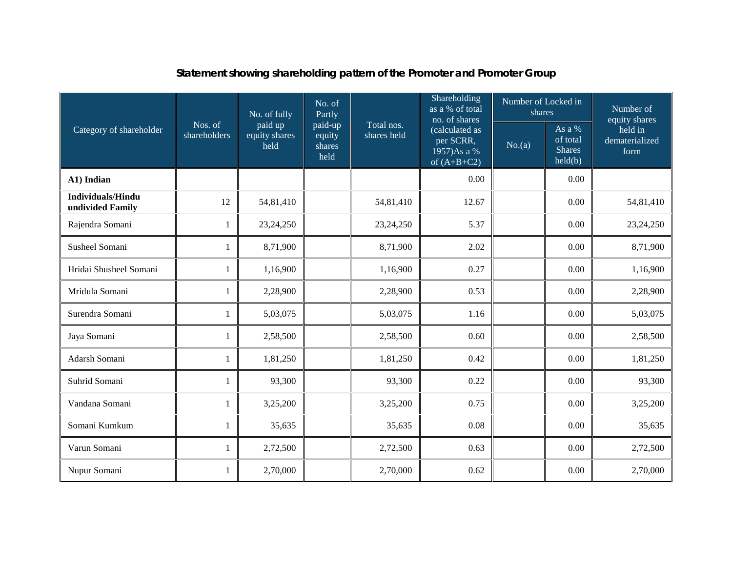|                                              |                         | No. of fully                     | No. of<br>Partly                    |                           | Shareholding<br>as a % of total<br>no. of shares            | Number of Locked in<br>shares |                                                | Number of<br>equity shares        |  |
|----------------------------------------------|-------------------------|----------------------------------|-------------------------------------|---------------------------|-------------------------------------------------------------|-------------------------------|------------------------------------------------|-----------------------------------|--|
| Category of shareholder                      | Nos. of<br>shareholders | paid up<br>equity shares<br>held | paid-up<br>equity<br>shares<br>held | Total nos.<br>shares held | (calculated as<br>per SCRR,<br>1957)As a %<br>of $(A+B+C2)$ | No.(a)                        | As a %<br>of total<br><b>Shares</b><br>held(b) | held in<br>dematerialized<br>form |  |
| A1) Indian                                   |                         |                                  |                                     |                           | 0.00                                                        |                               | 0.00                                           |                                   |  |
| <b>Individuals/Hindu</b><br>undivided Family | 12                      | 54,81,410                        |                                     | 54,81,410                 | 12.67                                                       |                               | 0.00                                           | 54,81,410                         |  |
| Rajendra Somani                              | $\mathbf{1}$            | 23, 24, 250                      |                                     | 23,24,250                 | 5.37                                                        |                               | 0.00                                           | 23,24,250                         |  |
| Susheel Somani                               | $\mathbf{1}$            | 8,71,900                         |                                     | 8,71,900                  | 2.02                                                        |                               | 0.00                                           | 8,71,900                          |  |
| Hridai Shusheel Somani                       | $\mathbf{1}$            | 1,16,900                         |                                     | 1,16,900                  | 0.27                                                        |                               | 0.00                                           | 1,16,900                          |  |
| Mridula Somani                               | 1                       | 2,28,900                         |                                     | 2,28,900                  | 0.53                                                        |                               | 0.00                                           | 2,28,900                          |  |
| Surendra Somani                              | 1                       | 5,03,075                         |                                     | 5,03,075                  | 1.16                                                        |                               | 0.00                                           | 5,03,075                          |  |
| Jaya Somani                                  | 1                       | 2,58,500                         |                                     | 2,58,500                  | 0.60                                                        |                               | 0.00                                           | 2,58,500                          |  |
| Adarsh Somani                                | $\mathbf{1}$            | 1,81,250                         |                                     | 1,81,250                  | 0.42                                                        |                               | 0.00                                           | 1,81,250                          |  |
| Suhrid Somani                                | $\mathbf{1}$            | 93,300                           |                                     | 93,300                    | 0.22                                                        |                               | 0.00                                           | 93,300                            |  |
| Vandana Somani                               | $\mathbf{1}$            | 3,25,200                         |                                     | 3,25,200                  | 0.75                                                        |                               | 0.00                                           | 3,25,200                          |  |
| Somani Kumkum                                | 1                       | 35,635                           |                                     | 35,635                    | 0.08                                                        |                               | 0.00                                           | 35,635                            |  |
| Varun Somani                                 | $\mathbf{1}$            | 2,72,500                         |                                     | 2,72,500                  | 0.63                                                        |                               | 0.00                                           | 2,72,500                          |  |
| Nupur Somani                                 | 1                       | 2,70,000                         |                                     | 2,70,000                  | 0.62                                                        |                               | 0.00                                           | 2,70,000                          |  |

### **Statement showing shareholding pattern of the Promoter and Promoter Group**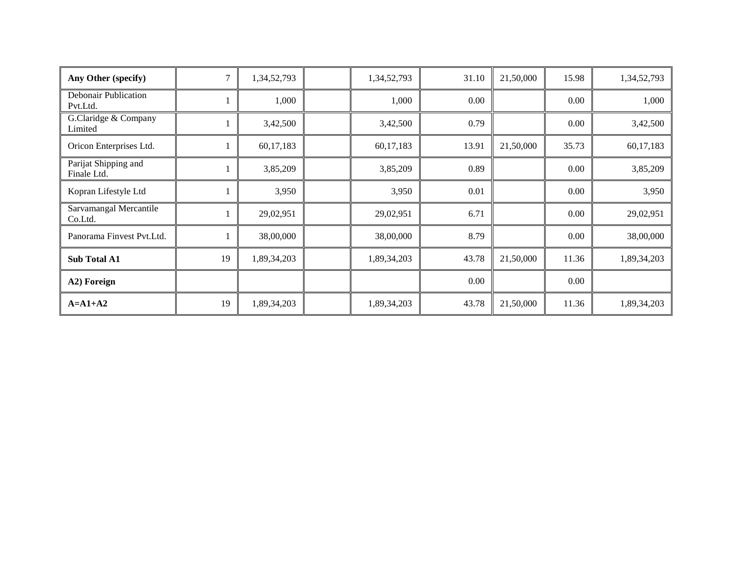| Any Other (specify)                 |    | 1,34,52,793 | 1,34,52,793 | 31.10 | 21,50,000 | 15.98 | 1,34,52,793 |
|-------------------------------------|----|-------------|-------------|-------|-----------|-------|-------------|
| Debonair Publication<br>Pvt.Ltd.    |    | 1,000       | 1,000       | 0.00  |           | 0.00  | 1,000       |
| G.Claridge & Company<br>Limited     |    | 3,42,500    | 3,42,500    | 0.79  |           | 0.00  | 3,42,500    |
| Oricon Enterprises Ltd.             |    | 60,17,183   | 60,17,183   | 13.91 | 21,50,000 | 35.73 | 60,17,183   |
| Parijat Shipping and<br>Finale Ltd. |    | 3,85,209    | 3,85,209    | 0.89  |           | 0.00  | 3,85,209    |
| Kopran Lifestyle Ltd                |    | 3,950       | 3,950       | 0.01  |           | 0.00  | 3,950       |
| Sarvamangal Mercantile<br>Co.Ltd.   |    | 29,02,951   | 29,02,951   | 6.71  |           | 0.00  | 29,02,951   |
| Panorama Finvest Pvt.Ltd.           |    | 38,00,000   | 38,00,000   | 8.79  |           | 0.00  | 38,00,000   |
| Sub Total A1                        | 19 | 1,89,34,203 | 1,89,34,203 | 43.78 | 21,50,000 | 11.36 | 1,89,34,203 |
| A2) Foreign                         |    |             |             | 0.00  |           | 0.00  |             |
| $A=A1+A2$                           | 19 | 1,89,34,203 | 1,89,34,203 | 43.78 | 21,50,000 | 11.36 | 1,89,34,203 |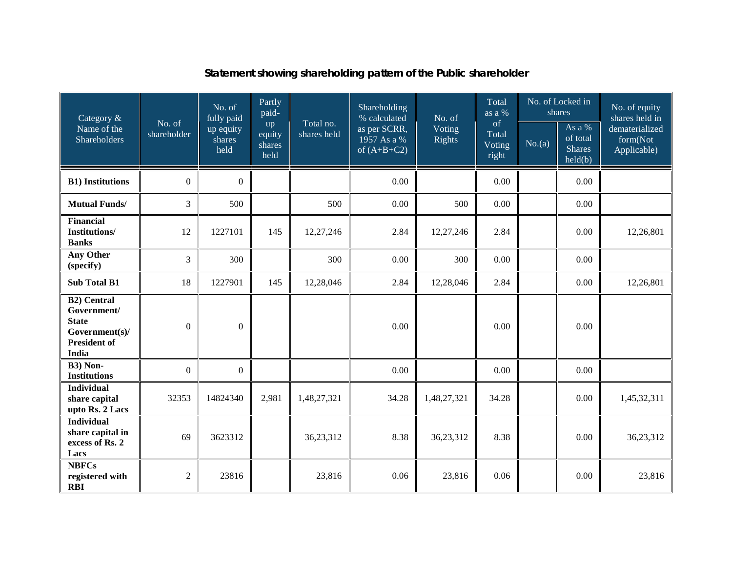### **Statement showing shareholding pattern of the Public shareholder**

| Category &                                                                                                 |                       | No. of<br>fully paid        | Partly<br>paid-                |                          | Shareholding<br>% calculated<br>as per SCRR,<br>1957 As a %<br>of $(A+B+C2)$ | No. of                  | Total<br>as a %<br>of<br>Total<br>Voting<br>right | No. of Locked in<br>shares |                                                | No. of equity<br>shares held in           |
|------------------------------------------------------------------------------------------------------------|-----------------------|-----------------------------|--------------------------------|--------------------------|------------------------------------------------------------------------------|-------------------------|---------------------------------------------------|----------------------------|------------------------------------------------|-------------------------------------------|
| Name of the<br>Shareholders                                                                                | No. of<br>shareholder | up equity<br>shares<br>held | up<br>equity<br>shares<br>held | Total no.<br>shares held |                                                                              | Voting<br><b>Rights</b> |                                                   | No.(a)                     | As a %<br>of total<br><b>Shares</b><br>held(b) | dematerialized<br>form(Not<br>Applicable) |
| <b>B1)</b> Institutions                                                                                    | $\boldsymbol{0}$      | $\theta$                    |                                |                          | 0.00                                                                         |                         | 0.00                                              |                            | 0.00                                           |                                           |
| <b>Mutual Funds/</b>                                                                                       | 3                     | 500                         |                                | 500                      | 0.00                                                                         | 500                     | 0.00                                              |                            | 0.00                                           |                                           |
| <b>Financial</b><br><b>Institutions/</b><br><b>Banks</b>                                                   | 12                    | 1227101                     | 145                            | 12,27,246                | 2.84                                                                         | 12,27,246               | 2.84                                              |                            | 0.00                                           | 12,26,801                                 |
| <b>Any Other</b><br>(specify)                                                                              | 3                     | 300                         |                                | 300                      | 0.00                                                                         | 300                     | 0.00                                              |                            | 0.00                                           |                                           |
| <b>Sub Total B1</b>                                                                                        | 18                    | 1227901                     | 145                            | 12,28,046                | 2.84                                                                         | 12,28,046               | 2.84                                              |                            | 0.00                                           | 12,26,801                                 |
| <b>B2)</b> Central<br>Government/<br><b>State</b><br>Government(s)/<br><b>President of</b><br><b>India</b> | $\overline{0}$        | $\boldsymbol{0}$            |                                |                          | 0.00                                                                         |                         | 0.00                                              |                            | 0.00                                           |                                           |
| B3) Non-<br><b>Institutions</b>                                                                            | $\mathbf{0}$          | $\overline{0}$              |                                |                          | 0.00                                                                         |                         | 0.00                                              |                            | 0.00                                           |                                           |
| <b>Individual</b><br>share capital<br>upto Rs. 2 Lacs                                                      | 32353                 | 14824340                    | 2,981                          | 1,48,27,321              | 34.28                                                                        | 1,48,27,321             | 34.28                                             |                            | 0.00                                           | 1,45,32,311                               |
| <b>Individual</b><br>share capital in<br>excess of Rs. 2<br>Lacs                                           | 69                    | 3623312                     |                                | 36,23,312                | 8.38                                                                         | 36,23,312               | 8.38                                              |                            | 0.00                                           | 36,23,312                                 |
| <b>NBFCs</b><br>registered with<br><b>RBI</b>                                                              | $\overline{c}$        | 23816                       |                                | 23,816                   | 0.06                                                                         | 23,816                  | 0.06                                              |                            | 0.00                                           | 23,816                                    |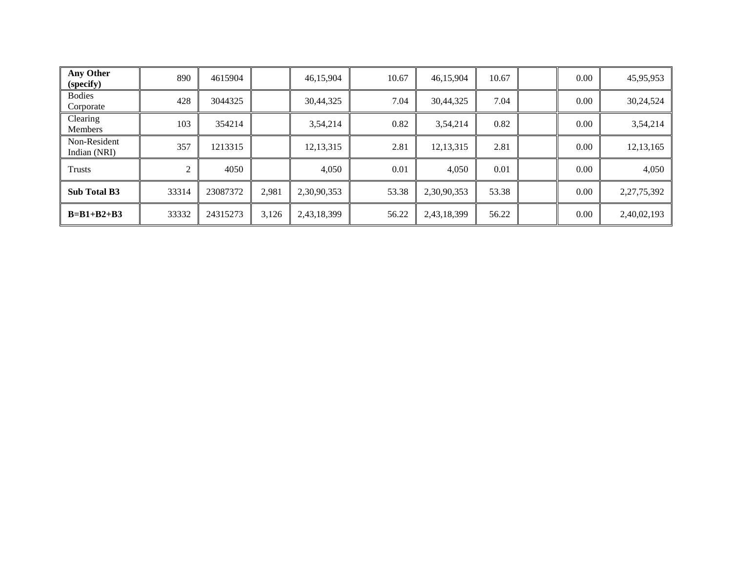| Any Other<br>(specify)       | 890   | 4615904  |       | 46,15,904   | 10.67 | 46,15,904   | 10.67 | 0.00 | 45,95,953      |
|------------------------------|-------|----------|-------|-------------|-------|-------------|-------|------|----------------|
| <b>Bodies</b><br>Corporate   | 428   | 3044325  |       | 30,44,325   | 7.04  | 30,44,325   | 7.04  | 0.00 | 30,24,524      |
| Clearing<br><b>Members</b>   | 103   | 354214   |       | 3,54,214    | 0.82  | 3,54,214    | 0.82  | 0.00 | 3,54,214       |
| Non-Resident<br>Indian (NRI) | 357   | 1213315  |       | 12, 13, 315 | 2.81  | 12, 13, 315 | 2.81  | 0.00 | 12, 13, 165    |
| Trusts                       | 2     | 4050     |       | 4,050       | 0.01  | 4,050       | 0.01  | 0.00 | 4,050          |
| <b>Sub Total B3</b>          | 33314 | 23087372 | 2,981 | 2,30,90,353 | 53.38 | 2,30,90,353 | 53.38 | 0.00 | 2, 27, 75, 392 |
| $B=B1+B2+B3$                 | 33332 | 24315273 | 3,126 | 2,43,18,399 | 56.22 | 2,43,18,399 | 56.22 | 0.00 | 2,40,02,193    |